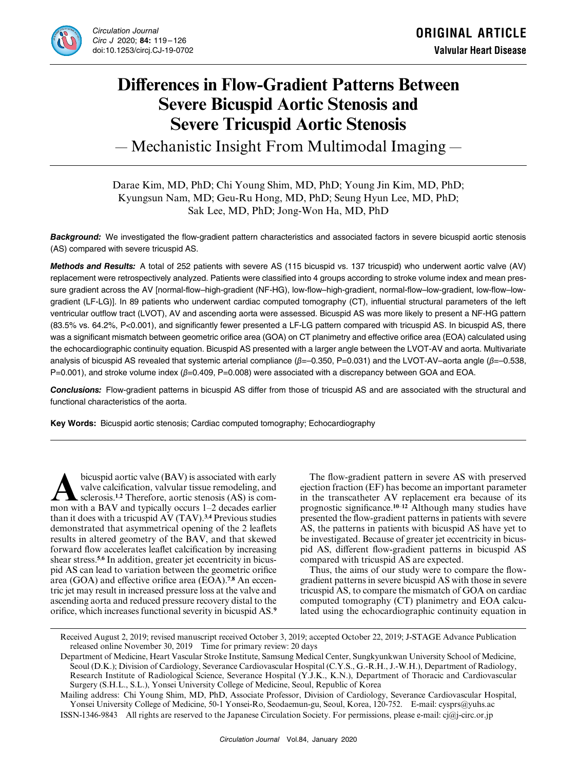

# **Differences in Flow-Gradient Patterns Between Severe Bicuspid Aortic Stenosis and Severe Tricuspid Aortic Stenosis**

― Mechanistic Insight From Multimodal Imaging ―

# Darae Kim, MD, PhD; Chi Young Shim, MD, PhD; Young Jin Kim, MD, PhD; Kyungsun Nam, MD; Geu-Ru Hong, MD, PhD; Seung Hyun Lee, MD, PhD; Sak Lee, MD, PhD; Jong-Won Ha, MD, PhD

*Background:* We investigated the flow-gradient pattern characteristics and associated factors in severe bicuspid aortic stenosis (AS) compared with severe tricuspid AS.

*Methods and Results:* A total of 252 patients with severe AS (115 bicuspid vs. 137 tricuspid) who underwent aortic valve (AV) replacement were retrospectively analyzed. Patients were classified into 4 groups according to stroke volume index and mean pressure gradient across the AV [normal-flow–high-gradient (NF-HG), low-flow–high-gradient, normal-flow–low-gradient, low-flow–lowgradient (LF-LG)]. In 89 patients who underwent cardiac computed tomography (CT), influential structural parameters of the left ventricular outflow tract (LVOT), AV and ascending aorta were assessed. Bicuspid AS was more likely to present a NF-HG pattern (83.5% vs. 64.2%, P<0.001), and significantly fewer presented a LF-LG pattern compared with tricuspid AS. In bicuspid AS, there was a significant mismatch between geometric orifice area (GOA) on CT planimetry and effective orifice area (EOA) calculated using the echocardiographic continuity equation. Bicuspid AS presented with a larger angle between the LVOT-AV and aorta. Multivariate analysis of bicuspid AS revealed that systemic arterial compliance (*β*=–0.350, P=0.031) and the LVOT-AV–aorta angle (*β*=–0.538, P=0.001), and stroke volume index (*β*=0.409, P=0.008) were associated with a discrepancy between GOA and EOA.

*Conclusions:* Flow-gradient patterns in bicuspid AS differ from those of tricuspid AS and are associated with the structural and functional characteristics of the aorta.

**Key Words:** Bicuspid aortic stenosis; Cardiac computed tomography; Echocardiography

**A** bicuspid aortic valve (BAV) is associated with early valve calcification, valvular tissue remodeling, and sclerosis.<sup>1,2</sup> Therefore, aortic stenosis (AS) is common with a BAV and typically occurs 1–2 decades earlier valve calcification, valvular tissue remodeling, and mon with a BAV and typically occurs 1–2 decades earlier than it does with a tricuspid AV (TAV).**<sup>3</sup>**,**<sup>4</sup>** Previous studies demonstrated that asymmetrical opening of the 2 leaflets results in altered geometry of the BAV, and that skewed forward flow accelerates leaflet calcification by increasing shear stress.**5**,**6** In addition, greater jet eccentricity in bicuspid AS can lead to variation between the geometric orifice area (GOA) and effective orifice area (EOA).**7**,**8** An eccentric jet may result in increased pressure loss at the valve and ascending aorta and reduced pressure recovery distal to the orifice, which increases functional severity in bicuspid AS.**<sup>9</sup>**

The flow-gradient pattern in severe AS with preserved ejection fraction (EF) has become an important parameter in the transcatheter AV replacement era because of its prognostic significance.**<sup>10</sup>**–**<sup>12</sup>** Although many studies have presented the flow-gradient patterns in patients with severe AS, the patterns in patients with bicuspid AS have yet to be investigated. Because of greater jet eccentricity in bicuspid AS, different flow-gradient patterns in bicuspid AS compared with tricuspid AS are expected.

Thus, the aims of our study were to compare the flowgradient patterns in severe bicuspid AS with those in severe tricuspid AS, to compare the mismatch of GOA on cardiac computed tomography (CT) planimetry and EOA calculated using the echocardiographic continuity equation in

Received August 2, 2019; revised manuscript received October 3, 2019; accepted October 22, 2019; J-STAGE Advance Publication released online November 30, 2019 Time for primary review: 20 days

Department of Medicine, Heart Vascular Stroke Institute, Samsung Medical Center, Sungkyunkwan University School of Medicine, Seoul (D.K.); Division of Cardiology, Severance Cardiovascular Hospital (C.Y.S., G.-R.H., J.-W.H.), Department of Radiology, Research Institute of Radiological Science, Severance Hospital (Y.J.K., K.N.), Department of Thoracic and Cardiovascular Surgery (S.H.L., S.L.), Yonsei University College of Medicine, Seoul, Republic of Korea

Mailing address: Chi Young Shim, MD, PhD, Associate Professor, Division of Cardiology, Severance Cardiovascular Hospital, Yonsei University College of Medicine, 50-1 Yonsei-Ro, Seodaemun-gu, Seoul, Korea, 120-752. E-mail: cysprs@yuhs.ac ISSN-1346-9843 All rights are reserved to the Japanese Circulation Society. For permissions, please e-mail: cj@j-circ.or.jp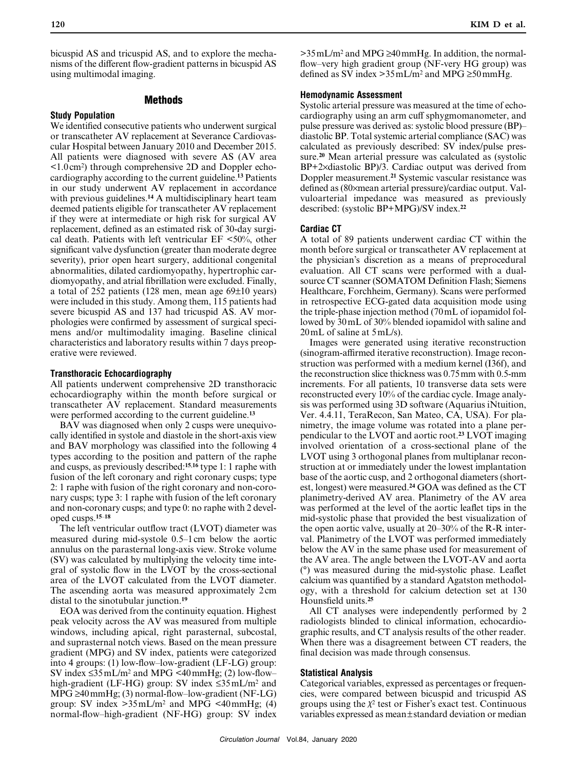bicuspid AS and tricuspid AS, and to explore the mechanisms of the different flow-gradient patterns in bicuspid AS using multimodal imaging.

# **Methods**

#### **Study Population**

We identified consecutive patients who underwent surgical or transcatheter AV replacement at Severance Cardiovascular Hospital between January 2010 and December 2015. All patients were diagnosed with severe AS (AV area <1.0cm2) through comprehensive 2D and Doppler echocardiography according to the current guideline.**<sup>13</sup>** Patients in our study underwent AV replacement in accordance with previous guidelines.**<sup>14</sup>** A multidisciplinary heart team deemed patients eligible for transcatheter AV replacement if they were at intermediate or high risk for surgical AV replacement, defined as an estimated risk of 30-day surgical death. Patients with left ventricular  $EF < 50\%$ , other significant valve dysfunction (greater than moderate degree severity), prior open heart surgery, additional congenital abnormalities, dilated cardiomyopathy, hypertrophic cardiomyopathy, and atrial fibrillation were excluded. Finally, a total of 252 patients (128 men, mean age 69±10 years) were included in this study. Among them, 115 patients had severe bicuspid AS and 137 had tricuspid AS. AV morphologies were confirmed by assessment of surgical specimens and/or multimodality imaging. Baseline clinical characteristics and laboratory results within 7 days preoperative were reviewed.

### **Transthoracic Echocardiography**

All patients underwent comprehensive 2D transthoracic echocardiography within the month before surgical or transcatheter AV replacement. Standard measurements were performed according to the current guideline.**<sup>13</sup>**

BAV was diagnosed when only 2 cusps were unequivocally identified in systole and diastole in the short-axis view and BAV morphology was classified into the following 4 types according to the position and pattern of the raphe and cusps, as previously described:**<sup>15</sup>**,**<sup>16</sup>** type 1: 1 raphe with fusion of the left coronary and right coronary cusps; type 2: 1 raphe with fusion of the right coronary and non-coronary cusps; type 3: 1 raphe with fusion of the left coronary and non-coronary cusps; and type 0: no raphe with 2 developed cusps.**<sup>15</sup>**–**<sup>18</sup>**

The left ventricular outflow tract (LVOT) diameter was measured during mid-systole 0.5–1cm below the aortic annulus on the parasternal long-axis view. Stroke volume (SV) was calculated by multiplying the velocity time integral of systolic flow in the LVOT by the cross-sectional area of the LVOT calculated from the LVOT diameter. The ascending aorta was measured approximately 2cm distal to the sinotubular junction.**<sup>19</sup>**

EOA was derived from the continuity equation. Highest peak velocity across the AV was measured from multiple windows, including apical, right parasternal, subcostal, and suprasternal notch views. Based on the mean pressure gradient (MPG) and SV index, patients were categorized into 4 groups: (1) low-flow–low-gradient (LF-LG) group: SV index  $\leq 35$  mL/m<sup>2</sup> and MPG <40 mmHg; (2) low-flow– high-gradient (LF-HG) group: SV index ≤35mL/m2 and MPG ≥40mmHg; (3) normal-flow–low-gradient (NF-LG) group: SV index  $>35 \text{ mL/m}^2$  and MPG <40mmHg; (4) normal-flow–high-gradient (NF-HG) group: SV index  $>35$  mL/m<sup>2</sup> and MPG  $\geq 40$  mmHg. In addition, the normalflow–very high gradient group (NF-very HG group) was defined as SV index >  $35 \text{ mL/m}^2$  and MPG  $\geq 50 \text{ mmHg}$ .

## **Hemodynamic Assessment**

Systolic arterial pressure was measured at the time of echocardiography using an arm cuff sphygmomanometer, and pulse pressure was derived as: systolic blood pressure (BP)– diastolic BP. Total systemic arterial compliance (SAC) was calculated as previously described: SV index/pulse pressure.**<sup>20</sup>** Mean arterial pressure was calculated as (systolic BP+2×diastolic BP)/3. Cardiac output was derived from Doppler measurement.**<sup>21</sup>** Systemic vascular resistance was defined as (80×mean arterial pressure)/cardiac output. Valvuloarterial impedance was measured as previously described: (systolic BP+MPG)/SV index.**<sup>22</sup>**

#### **Cardiac CT**

A total of 89 patients underwent cardiac CT within the month before surgical or transcatheter AV replacement at the physician's discretion as a means of preprocedural evaluation. All CT scans were performed with a dualsource CT scanner (SOMATOM Definition Flash; Siemens Healthcare, Forchheim, Germany). Scans were performed in retrospective ECG-gated data acquisition mode using the triple-phase injection method (70mL of iopamidol followed by 30mL of 30% blended iopamidol with saline and 20mL of saline at 5mL/s).

Images were generated using iterative reconstruction (sinogram-affirmed iterative reconstruction). Image reconstruction was performed with a medium kernel (I36f), and the reconstruction slice thickness was 0.75mm with 0.5-mm increments. For all patients, 10 transverse data sets were reconstructed every 10% of the cardiac cycle. Image analysis was performed using 3D software (Aquarius iNtuition, Ver. 4.4.11, TeraRecon, San Mateo, CA, USA). For planimetry, the image volume was rotated into a plane perpendicular to the LVOT and aortic root.**<sup>23</sup>** LVOT imaging involved orientation of a cross-sectional plane of the LVOT using 3 orthogonal planes from multiplanar reconstruction at or immediately under the lowest implantation base of the aortic cusp, and 2 orthogonal diameters (shortest, longest) were measured.**<sup>24</sup>** GOA was defined as the CT planimetry-derived AV area. Planimetry of the AV area was performed at the level of the aortic leaflet tips in the mid-systolic phase that provided the best visualization of the open aortic valve, usually at 20–30% of the R-R interval. Planimetry of the LVOT was performed immediately below the AV in the same phase used for measurement of the AV area. The angle between the LVOT-AV and aorta (°) was measured during the mid-systolic phase. Leaflet calcium was quantified by a standard Agatston methodology, with a threshold for calcium detection set at 130 Hounsfield units.**<sup>25</sup>**

All CT analyses were independently performed by 2 radiologists blinded to clinical information, echocardiographic results, and CT analysis results of the other reader. When there was a disagreement between CT readers, the final decision was made through consensus.

#### **Statistical Analysis**

Categorical variables, expressed as percentages or frequencies, were compared between bicuspid and tricuspid AS groups using the  $\chi^2$  test or Fisher's exact test. Continuous variables expressed as mean±standard deviation or median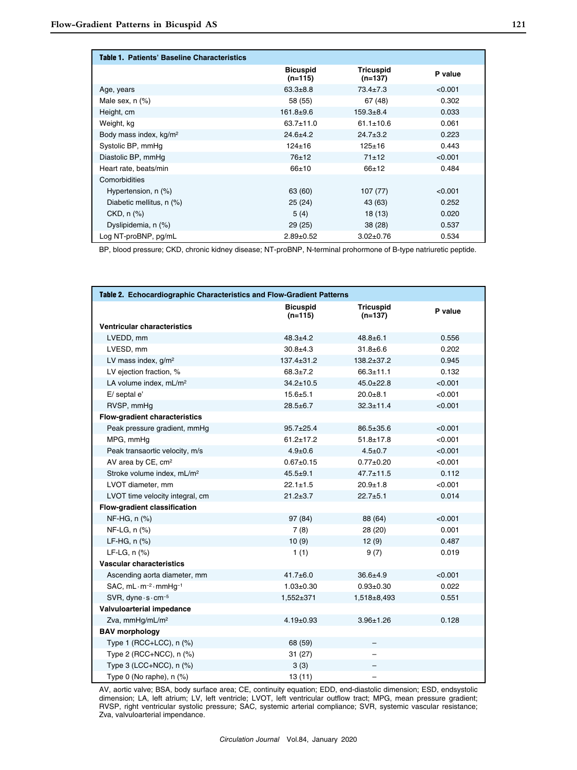| Table 1. Patients' Baseline Characteristics |                              |                               |         |
|---------------------------------------------|------------------------------|-------------------------------|---------|
|                                             | <b>Bicuspid</b><br>$(n=115)$ | <b>Tricuspid</b><br>$(n=137)$ | P value |
| Age, years                                  | $63.3 + 8.8$                 | $73.4 \pm 7.3$                | < 0.001 |
| Male sex, $n$ $(\%)$                        | 58 (55)                      | 67 (48)                       | 0.302   |
| Height, cm                                  | $161.8 + 9.6$                | $159.3 + 8.4$                 | 0.033   |
| Weight, kg                                  | $63.7 \pm 11.0$              | $61.1 \pm 10.6$               | 0.061   |
| Body mass index, kg/m <sup>2</sup>          | $24.6 + 4.2$                 | $24.7 \pm 3.2$                | 0.223   |
| Systolic BP, mmHg                           | $124 \pm 16$                 | $125 + 16$                    | 0.443   |
| Diastolic BP, mmHq                          | 76±12                        | $71 + 12$                     | < 0.001 |
| Heart rate, beats/min                       | $66 + 10$                    | $66+12$                       | 0.484   |
| Comorbidities                               |                              |                               |         |
| Hypertension, n (%)                         | 63 (60)                      | 107 (77)                      | < 0.001 |
| Diabetic mellitus, n (%)                    | 25(24)                       | 43 (63)                       | 0.252   |
| $CKD, n$ $(\%)$                             | 5(4)                         | 18 (13)                       | 0.020   |
| Dyslipidemia, n (%)                         | 29(25)                       | 38 (28)                       | 0.537   |
| Log NT-proBNP, pg/mL                        | $2.89+0.52$                  | $3.02 \pm 0.76$               | 0.534   |

BP, blood pressure; CKD, chronic kidney disease; NT-proBNP, N-terminal prohormone of B-type natriuretic peptide.

| Table 2. Echocardiographic Characteristics and Flow-Gradient Patterns |                              |                               |         |  |  |
|-----------------------------------------------------------------------|------------------------------|-------------------------------|---------|--|--|
|                                                                       | <b>Bicuspid</b><br>$(n=115)$ | <b>Tricuspid</b><br>$(n=137)$ | P value |  |  |
| <b>Ventricular characteristics</b>                                    |                              |                               |         |  |  |
| LVEDD, mm                                                             | $48.3 + 4.2$                 | $48.8 \pm 6.1$                | 0.556   |  |  |
| LVESD, mm                                                             | $30.8 + 4.3$                 | $31.8 + 6.6$                  | 0.202   |  |  |
| LV mass index, g/m <sup>2</sup>                                       | $137.4 \pm 31.2$             | 138.2±37.2                    | 0.945   |  |  |
| LV ejection fraction, %                                               | $68.3 + 7.2$                 | $66.3 + 11.1$                 | 0.132   |  |  |
| LA volume index, mL/m <sup>2</sup>                                    | $34.2 \pm 10.5$              | $45.0 \pm 22.8$               | < 0.001 |  |  |
| E/ septal e'                                                          | $15.6 + 5.1$                 | $20.0 + 8.1$                  | < 0.001 |  |  |
| RVSP, mmHg                                                            | $28.5 + 6.7$                 | $32.3 \pm 11.4$               | < 0.001 |  |  |
| Flow-gradient characteristics                                         |                              |                               |         |  |  |
| Peak pressure gradient, mmHg                                          | $95.7 \pm 25.4$              | $86.5 \pm 35.6$               | < 0.001 |  |  |
| MPG, mmHq                                                             | $61.2 + 17.2$                | $51.8 + 17.8$                 | < 0.001 |  |  |
| Peak transaortic velocity, m/s                                        | $4.9 \pm 0.6$                | $4.5 \pm 0.7$                 | < 0.001 |  |  |
| AV area by CE, cm <sup>2</sup>                                        | $0.67 + 0.15$                | $0.77 + 0.20$                 | < 0.001 |  |  |
| Stroke volume index, mL/m <sup>2</sup>                                | $45.5 + 9.1$                 | $47.7 \pm 11.5$               | 0.112   |  |  |
| LVOT diameter, mm                                                     | $22.1 \pm 1.5$               | $20.9 + 1.8$                  | < 0.001 |  |  |
| LVOT time velocity integral, cm                                       | $21.2 + 3.7$                 | $22.7 + 5.1$                  | 0.014   |  |  |
| Flow-gradient classification                                          |                              |                               |         |  |  |
| NF-HG, n (%)                                                          | 97 (84)                      | 88 (64)                       | < 0.001 |  |  |
| NF-LG, n (%)                                                          | 7(8)                         | 28 (20)                       | 0.001   |  |  |
| $LF-HG, n$ $(\%)$                                                     | 10(9)                        | 12(9)                         | 0.487   |  |  |
| $LF-LG, n$ $(\%)$                                                     | 1(1)                         | 9(7)                          | 0.019   |  |  |
| Vascular characteristics                                              |                              |                               |         |  |  |
| Ascending aorta diameter, mm                                          | $41.7 + 6.0$                 | $36.6 + 4.9$                  | < 0.001 |  |  |
| SAC, $mL \cdot m^{-2} \cdot mmHq^{-1}$                                | $1.03 \pm 0.30$              | $0.93 \pm 0.30$               | 0.022   |  |  |
| $SVR$ , dyne $\cdot$ s $\cdot$ cm <sup>-5</sup>                       | 1,552±371                    | 1,518±8,493                   | 0.551   |  |  |
| Valvuloarterial impedance                                             |                              |                               |         |  |  |
| Zva, mmHq/mL/m <sup>2</sup>                                           | $4.19 \pm 0.93$              | $3.96 \pm 1.26$               | 0.128   |  |  |
| <b>BAV</b> morphology                                                 |                              |                               |         |  |  |
| Type 1 (RCC+LCC), $n$ (%)                                             | 68 (59)                      |                               |         |  |  |
| Type 2 (RCC+NCC), n (%)                                               | 31(27)                       |                               |         |  |  |
| Type $3$ (LCC+NCC), $n$ (%)                                           | 3(3)                         |                               |         |  |  |
| Type 0 (No raphe), $n$ (%)                                            | 13(11)                       |                               |         |  |  |

AV, aortic valve; BSA, body surface area; CE, continuity equation; EDD, end-diastolic dimension; ESD, endsystolic dimension; LA, left atrium; LV, left ventricle; LVOT, left ventricular outflow tract; MPG, mean pressure gradient; RVSP, right ventricular systolic pressure; SAC, systemic arterial compliance; SVR, systemic vascular resistance; Zva, valvuloarterial impendance.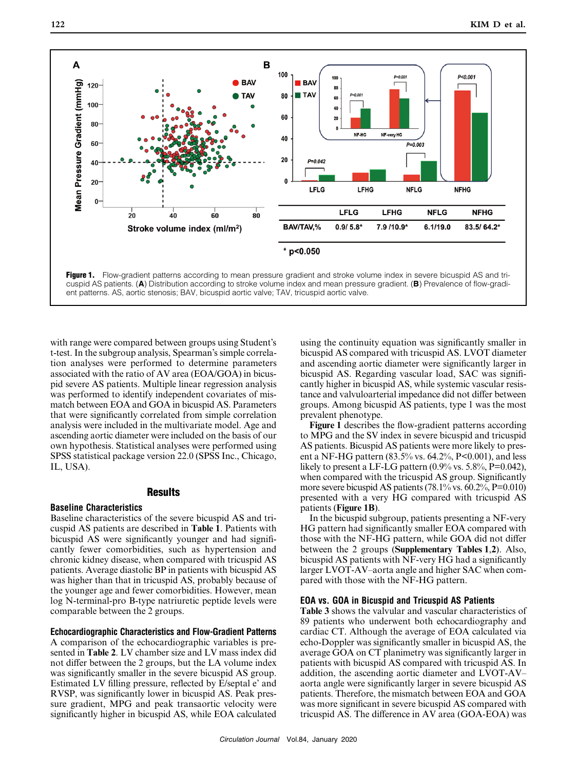

ent patterns. AS, aortic stenosis; BAV, bicuspid aortic valve; TAV, tricuspid aortic valve.

with range were compared between groups using Student's t-test. In the subgroup analysis, Spearman's simple correlation analyses were performed to determine parameters associated with the ratio of AV area (EOA/GOA) in bicuspid severe AS patients. Multiple linear regression analysis was performed to identify independent covariates of mismatch between EOA and GOA in bicuspid AS. Parameters that were significantly correlated from simple correlation analysis were included in the multivariate model. Age and ascending aortic diameter were included on the basis of our own hypothesis. Statistical analyses were performed using SPSS statistical package version 22.0 (SPSS Inc., Chicago, IL, USA).

#### **Results**

#### **Baseline Characteristics**

Baseline characteristics of the severe bicuspid AS and tricuspid AS patients are described in **Table 1**. Patients with bicuspid AS were significantly younger and had significantly fewer comorbidities, such as hypertension and chronic kidney disease, when compared with tricuspid AS patients. Average diastolic BP in patients with bicuspid AS was higher than that in tricuspid AS, probably because of the younger age and fewer comorbidities. However, mean log N-terminal-pro B-type natriuretic peptide levels were comparable between the 2 groups.

#### **Echocardiographic Characteristics and Flow-Gradient Patterns**

A comparison of the echocardiographic variables is presented in **Table 2**. LV chamber size and LV mass index did not differ between the 2 groups, but the LA volume index was significantly smaller in the severe bicuspid AS group. Estimated LV filling pressure, reflected by E/septal e' and RVSP, was significantly lower in bicuspid AS. Peak pressure gradient, MPG and peak transaortic velocity were significantly higher in bicuspid AS, while EOA calculated using the continuity equation was significantly smaller in bicuspid AS compared with tricuspid AS. LVOT diameter and ascending aortic diameter were significantly larger in bicuspid AS. Regarding vascular load, SAC was significantly higher in bicuspid AS, while systemic vascular resistance and valvuloarterial impedance did not differ between groups. Among bicuspid AS patients, type 1 was the most prevalent phenotype.

**Figure 1** describes the flow-gradient patterns according to MPG and the SV index in severe bicuspid and tricuspid AS patients. Bicuspid AS patients were more likely to present a NF-HG pattern  $(83.5\% \text{ vs. } 64.2\%, P<0.001)$ , and less likely to present a LF-LG pattern  $(0.9\% \text{ vs. } 5.8\%, \text{P=0.042})$ , when compared with the tricuspid AS group. Significantly more severe bicuspid AS patients (78.1% vs. 60.2%, P=0.010) presented with a very HG compared with tricuspid AS patients (**Figure 1B**).

In the bicuspid subgroup, patients presenting a NF-very HG pattern had significantly smaller EOA compared with those with the NF-HG pattern, while GOA did not differ between the 2 groups (**Supplementary Tables 1**,**2**). Also, bicuspid AS patients with NF-very HG had a significantly larger LVOT-AV–aorta angle and higher SAC when compared with those with the NF-HG pattern.

## **EOA vs. GOA in Bicuspid and Tricuspid AS Patients**

**Table 3** shows the valvular and vascular characteristics of 89 patients who underwent both echocardiography and cardiac CT. Although the average of EOA calculated via echo-Doppler was significantly smaller in bicuspid AS, the average GOA on CT planimetry was significantly larger in patients with bicuspid AS compared with tricuspid AS. In addition, the ascending aortic diameter and LVOT-AV– aorta angle were significantly larger in severe bicuspid AS patients. Therefore, the mismatch between EOA and GOA was more significant in severe bicuspid AS compared with tricuspid AS. The difference in AV area (GOA-EOA) was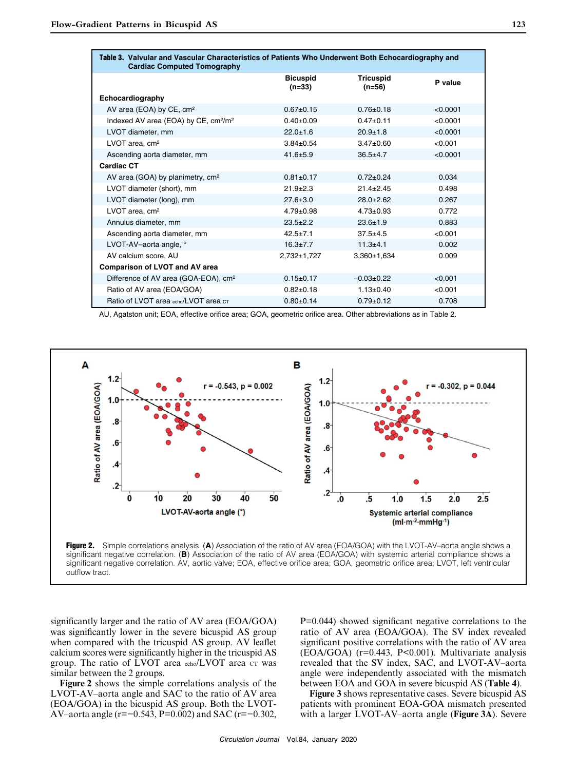| Table 3. Valvular and Vascular Characteristics of Patients Who Underwent Both Echocardiography and<br><b>Cardiac Computed Tomography</b> |                             |                              |          |  |
|------------------------------------------------------------------------------------------------------------------------------------------|-----------------------------|------------------------------|----------|--|
|                                                                                                                                          | <b>Bicuspid</b><br>$(n=33)$ | <b>Tricuspid</b><br>$(n=56)$ | P value  |  |
| Echocardiography                                                                                                                         |                             |                              |          |  |
| AV area (EOA) by CE, cm <sup>2</sup>                                                                                                     | $0.67+0.15$                 | $0.76 \pm 0.18$              | < 0.0001 |  |
| Indexed AV area (EOA) by CE, cm <sup>2</sup> /m <sup>2</sup>                                                                             | $0.40 \pm 0.09$             | $0.47 + 0.11$                | < 0.0001 |  |
| LVOT diameter, mm                                                                                                                        | $22.0 \pm 1.6$              | $20.9 + 1.8$                 | < 0.0001 |  |
| LVOT area, cm <sup>2</sup>                                                                                                               | $3.84 \pm 0.54$             | $3.47 \pm 0.60$              | < 0.001  |  |
| Ascending aorta diameter, mm                                                                                                             | $41.6 + 5.9$                | $36.5 + 4.7$                 | < 0.0001 |  |
| <b>Cardiac CT</b>                                                                                                                        |                             |                              |          |  |
| AV area (GOA) by planimetry, cm <sup>2</sup>                                                                                             | $0.81 \pm 0.17$             | $0.72+0.24$                  | 0.034    |  |
| LVOT diameter (short), mm                                                                                                                | $21.9 + 2.3$                | $21.4 + 2.45$                | 0.498    |  |
| LVOT diameter (long), mm                                                                                                                 | $27.6 \pm 3.0$              | $28.0 + 2.62$                | 0.267    |  |
| LVOT area, cm <sup>2</sup>                                                                                                               | $4.79 \pm 0.98$             | $4.73 \pm 0.93$              | 0.772    |  |
| Annulus diameter, mm                                                                                                                     | $23.5 + 2.2$                | $23.6 \pm 1.9$               | 0.883    |  |
| Ascending aorta diameter, mm                                                                                                             | $42.5 \pm 7.1$              | $37.5 + 4.5$                 | < 0.001  |  |
| LVOT-AV-aorta angle, °                                                                                                                   | $16.3 \pm 7.7$              | $11.3 + 4.1$                 | 0.002    |  |
| AV calcium score. AU                                                                                                                     | $2.732 \pm 1.727$           | $3.360 \pm 1.634$            | 0.009    |  |
| <b>Comparison of LVOT and AV area</b>                                                                                                    |                             |                              |          |  |
| Difference of AV area (GOA-EOA), cm <sup>2</sup>                                                                                         | $0.15 \pm 0.17$             | $-0.03+0.22$                 | < 0.001  |  |
| Ratio of AV area (EOA/GOA)                                                                                                               | $0.82{\pm}0.18$             | $1.13 \pm 0.40$              | < 0.001  |  |
| Ratio of LVOT area echo/LVOT area CT                                                                                                     | $0.80+0.14$                 | $0.79 + 0.12$                | 0.708    |  |

AU, Agatston unit; EOA, effective orifice area; GOA, geometric orifice area. Other abbreviations as in Table 2.

![](_page_4_Figure_4.jpeg)

![](_page_4_Figure_5.jpeg)

significantly larger and the ratio of AV area (EOA/GOA) was significantly lower in the severe bicuspid AS group when compared with the tricuspid AS group. AV leaflet calcium scores were significantly higher in the tricuspid AS group. The ratio of LVOT area echo/LVOT area CT was similar between the 2 groups.

**Figure 2** shows the simple correlations analysis of the LVOT-AV–aorta angle and SAC to the ratio of AV area (EOA/GOA) in the bicuspid AS group. Both the LVOT-AV–aorta angle (r=−0.543, P=0.002) and SAC (r=−0.302, P=0.044) showed significant negative correlations to the ratio of AV area (EOA/GOA). The SV index revealed significant positive correlations with the ratio of AV area (EOA/GOA) (r=0.443, P<0.001). Multivariate analysis revealed that the SV index, SAC, and LVOT-AV–aorta angle were independently associated with the mismatch between EOA and GOA in severe bicuspid AS (**Table 4**).

**Figure 3** shows representative cases. Severe bicuspid AS patients with prominent EOA-GOA mismatch presented with a larger LVOT-AV–aorta angle (**Figure 3A**). Severe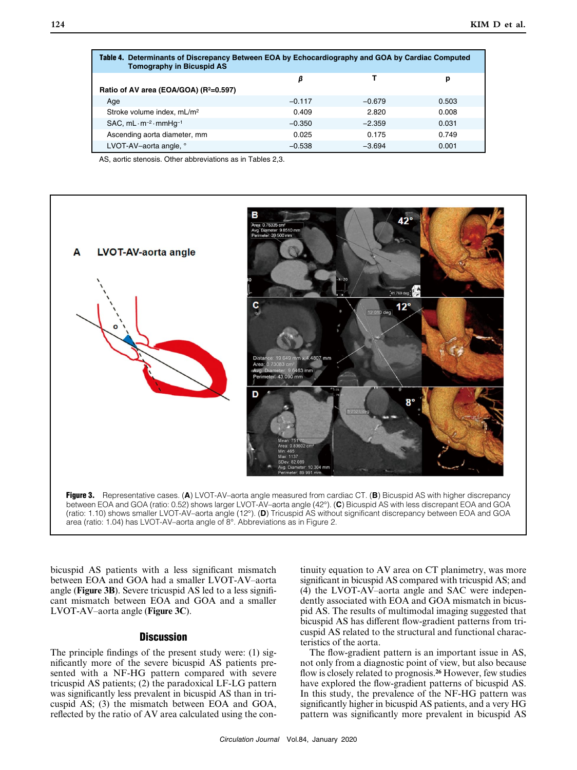| Table 4. Determinants of Discrepancy Between EOA by Echocardiography and GOA by Cardiac Computed<br><b>Tomography in Bicuspid AS</b> |          |          |       |  |  |
|--------------------------------------------------------------------------------------------------------------------------------------|----------|----------|-------|--|--|
|                                                                                                                                      | β        |          | р     |  |  |
| Ratio of AV area (EOA/GOA) (R <sup>2</sup> =0.597)                                                                                   |          |          |       |  |  |
| Aae                                                                                                                                  | $-0.117$ | $-0.679$ | 0.503 |  |  |
| Stroke volume index, mL/m <sup>2</sup>                                                                                               | 0.409    | 2.820    | 0.008 |  |  |
| $SAC$ , mL $\cdot$ m <sup>-2</sup> $\cdot$ mmHg <sup>-1</sup>                                                                        | $-0.350$ | $-2.359$ | 0.031 |  |  |
| Ascending aorta diameter, mm                                                                                                         | 0.025    | 0.175    | 0.749 |  |  |
| LVOT-AV-aorta angle, °                                                                                                               | $-0.538$ | $-3.694$ | 0.001 |  |  |

AS, aortic stenosis. Other abbreviations as in Tables 2,3.

![](_page_5_Figure_3.jpeg)

![](_page_5_Figure_4.jpeg)

bicuspid AS patients with a less significant mismatch between EOA and GOA had a smaller LVOT-AV–aorta angle (**Figure 3B**). Severe tricuspid AS led to a less significant mismatch between EOA and GOA and a smaller LVOT-AV–aorta angle (**Figure 3C**).

## **Discussion**

The principle findings of the present study were: (1) significantly more of the severe bicuspid AS patients presented with a NF-HG pattern compared with severe tricuspid AS patients; (2) the paradoxical LF-LG pattern was significantly less prevalent in bicuspid AS than in tricuspid AS; (3) the mismatch between EOA and GOA, reflected by the ratio of AV area calculated using the continuity equation to AV area on CT planimetry, was more significant in bicuspid AS compared with tricuspid AS; and (4) the LVOT-AV–aorta angle and SAC were independently associated with EOA and GOA mismatch in bicuspid AS. The results of multimodal imaging suggested that bicuspid AS has different flow-gradient patterns from tricuspid AS related to the structural and functional characteristics of the aorta.

The flow-gradient pattern is an important issue in AS, not only from a diagnostic point of view, but also because flow is closely related to prognosis.**<sup>26</sup>** However, few studies have explored the flow-gradient patterns of bicuspid AS. In this study, the prevalence of the NF-HG pattern was significantly higher in bicuspid AS patients, and a very HG pattern was significantly more prevalent in bicuspid AS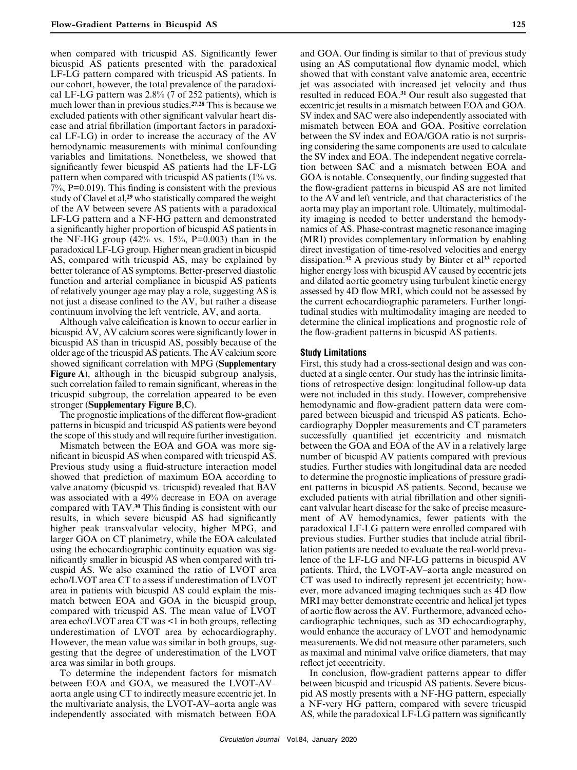when compared with tricuspid AS. Significantly fewer bicuspid AS patients presented with the paradoxical LF-LG pattern compared with tricuspid AS patients. In our cohort, however, the total prevalence of the paradoxical LF-LG pattern was 2.8% (7 of 252 patients), which is much lower than in previous studies.**<sup>27</sup>**,**<sup>28</sup>** This is because we excluded patients with other significant valvular heart disease and atrial fibrillation (important factors in paradoxical LF-LG) in order to increase the accuracy of the AV hemodynamic measurements with minimal confounding variables and limitations. Nonetheless, we showed that significantly fewer bicuspid AS patients had the LF-LG pattern when compared with tricuspid AS patients (1% vs. 7%, P=0.019). This finding is consistent with the previous study of Clavel et al,**<sup>29</sup>** who statistically compared the weight of the AV between severe AS patients with a paradoxical LF-LG pattern and a NF-HG pattern and demonstrated a significantly higher proportion of bicuspid AS patients in the NF-HG group  $(42\% \text{ vs. } 15\%, \text{ P=0.003})$  than in the paradoxical LF-LG group. Higher mean gradient in bicuspid AS, compared with tricuspid AS, may be explained by better tolerance of AS symptoms. Better-preserved diastolic function and arterial compliance in bicuspid AS patients of relatively younger age may play a role, suggesting AS is not just a disease confined to the AV, but rather a disease continuum involving the left ventricle, AV, and aorta.

Although valve calcification is known to occur earlier in bicuspid AV, AV calcium scores were significantly lower in bicuspid AS than in tricuspid AS, possibly because of the older age of the tricuspid AS patients. The AV calcium score showed significant correlation with MPG (**Supplementary Figure A**), although in the bicuspid subgroup analysis, such correlation failed to remain significant, whereas in the tricuspid subgroup, the correlation appeared to be even stronger (**Supplementary Figure B**,**C**).

The prognostic implications of the different flow-gradient patterns in bicuspid and tricuspid AS patients were beyond the scope of this study and will require further investigation.

Mismatch between the EOA and GOA was more significant in bicuspid AS when compared with tricuspid AS. Previous study using a fluid-structure interaction model showed that prediction of maximum EOA according to valve anatomy (bicuspid vs. tricuspid) revealed that BAV was associated with a 49% decrease in EOA on average compared with TAV.**<sup>30</sup>** This finding is consistent with our results, in which severe bicuspid AS had significantly higher peak transvalvular velocity, higher MPG, and larger GOA on CT planimetry, while the EOA calculated using the echocardiographic continuity equation was significantly smaller in bicuspid AS when compared with tricuspid AS. We also examined the ratio of LVOT area echo/LVOT area CT to assess if underestimation of LVOT area in patients with bicuspid AS could explain the mismatch between EOA and GOA in the bicuspid group, compared with tricuspid AS. The mean value of LVOT area echo/LVOT area CT was <1 in both groups, reflecting underestimation of LVOT area by echocardiography. However, the mean value was similar in both groups, suggesting that the degree of underestimation of the LVOT area was similar in both groups.

To determine the independent factors for mismatch between EOA and GOA, we measured the LVOT-AV– aorta angle using CT to indirectly measure eccentric jet. In the multivariate analysis, the LVOT-AV–aorta angle was independently associated with mismatch between EOA and GOA. Our finding is similar to that of previous study using an AS computational flow dynamic model, which showed that with constant valve anatomic area, eccentric jet was associated with increased jet velocity and thus resulted in reduced EOA.**<sup>31</sup>** Our result also suggested that eccentric jet results in a mismatch between EOA and GOA. SV index and SAC were also independently associated with mismatch between EOA and GOA. Positive correlation between the SV index and EOA/GOA ratio is not surprising considering the same components are used to calculate the SV index and EOA. The independent negative correlation between SAC and a mismatch between EOA and GOA is notable. Consequently, our finding suggested that the flow-gradient patterns in bicuspid AS are not limited to the AV and left ventricle, and that characteristics of the aorta may play an important role. Ultimately, multimodality imaging is needed to better understand the hemodynamics of AS. Phase-contrast magnetic resonance imaging (MRI) provides complementary information by enabling direct investigation of time-resolved velocities and energy dissipation.**<sup>32</sup>** A previous study by Binter et al**<sup>33</sup>** reported higher energy loss with bicuspid AV caused by eccentric jets and dilated aortic geometry using turbulent kinetic energy assessed by 4D flow MRI, which could not be assessed by the current echocardiographic parameters. Further longitudinal studies with multimodality imaging are needed to determine the clinical implications and prognostic role of the flow-gradient patterns in bicuspid AS patients.

#### **Study Limitations**

First, this study had a cross-sectional design and was conducted at a single center. Our study has the intrinsic limitations of retrospective design: longitudinal follow-up data were not included in this study. However, comprehensive hemodynamic and flow-gradient pattern data were compared between bicuspid and tricuspid AS patients. Echocardiography Doppler measurements and CT parameters successfully quantified jet eccentricity and mismatch between the GOA and EOA of the AV in a relatively large number of bicuspid AV patients compared with previous studies. Further studies with longitudinal data are needed to determine the prognostic implications of pressure gradient patterns in bicuspid AS patients. Second, because we excluded patients with atrial fibrillation and other significant valvular heart disease for the sake of precise measurement of AV hemodynamics, fewer patients with the paradoxical LF-LG pattern were enrolled compared with previous studies. Further studies that include atrial fibrillation patients are needed to evaluate the real-world prevalence of the LF-LG and NF-LG patterns in bicuspid AV patients. Third, the LVOT-AV–aorta angle measured on CT was used to indirectly represent jet eccentricity; however, more advanced imaging techniques such as 4D flow MRI may better demonstrate eccentric and helical jet types of aortic flow across the AV. Furthermore, advanced echocardiographic techniques, such as 3D echocardiography, would enhance the accuracy of LVOT and hemodynamic measurements. We did not measure other parameters, such as maximal and minimal valve orifice diameters, that may reflect jet eccentricity.

In conclusion, flow-gradient patterns appear to differ between bicuspid and tricuspid AS patients. Severe bicuspid AS mostly presents with a NF-HG pattern, especially a NF-very HG pattern, compared with severe tricuspid AS, while the paradoxical LF-LG pattern was significantly